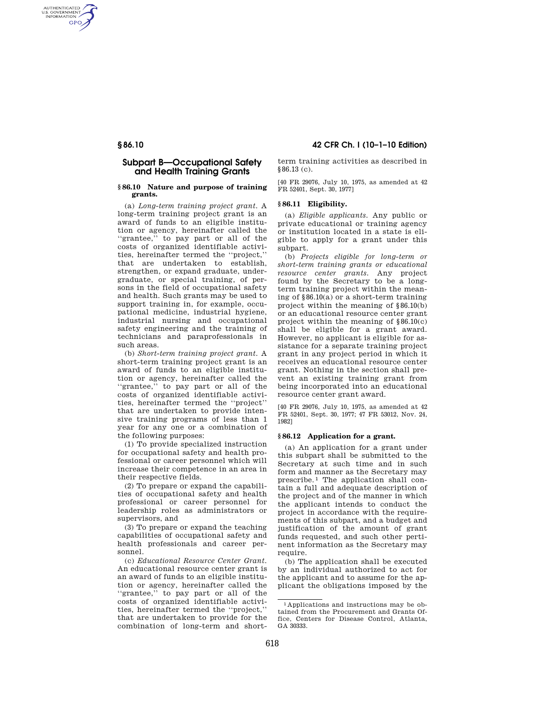AUTHENTICATED<br>U.S. GOVERNMENT<br>INFORMATION **GPO** 

# **Subpart B—Occupational Safety and Health Training Grants**

#### **§ 86.10 Nature and purpose of training grants.**

(a) *Long-term training project grant.* A long-term training project grant is an award of funds to an eligible institution or agency, hereinafter called the "grantee," to pay part or all of the costs of organized identifiable activities, hereinafter termed the ''project,'' that are undertaken to establish, strengthen, or expand graduate, undergraduate, or special training, of persons in the field of occupational safety and health. Such grants may be used to support training in, for example, occupational medicine, industrial hygiene, industrial nursing and occupational safety engineering and the training of technicians and paraprofessionals in such areas.

(b) *Short-term training project grant.* A short-term training project grant is an award of funds to an eligible institution or agency, hereinafter called the ''grantee,'' to pay part or all of the costs of organized identifiable activities, hereinafter termed the ''project'' that are undertaken to provide intensive training programs of less than 1 year for any one or a combination of the following purposes:

(1) To provide specialized instruction for occupational safety and health professional or career personnel which will increase their competence in an area in their respective fields.

(2) To prepare or expand the capabilities of occupational safety and health professional or career personnel for leadership roles as administrators or supervisors, and

(3) To prepare or expand the teaching capabilities of occupational safety and health professionals and career personnel.

(c) *Educational Resource Center Grant.*  An educational resource center grant is an award of funds to an eligible institution or agency, hereinafter called the ''grantee,'' to pay part or all of the costs of organized identifiable activities, hereinafter termed the ''project,'' that are undertaken to provide for the combination of long-term and short-

**§ 86.10 42 CFR Ch. I (10–1–10 Edition)** 

term training activities as described in §86.13 (c).

[40 FR 29076, July 10, 1975, as amended at 42 FR 52401, Sept. 30, 1977]

## **§ 86.11 Eligibility.**

(a) *Eligible applicants.* Any public or private educational or training agency or institution located in a state is eligible to apply for a grant under this subpart.

(b) *Projects eligible for long-term or short-term training grants or educational resource center grants.* Any project found by the Secretary to be a longterm training project within the meaning of §86.10(a) or a short-term training project within the meaning of §86.10(b) or an educational resource center grant project within the meaning of §86.10(c) shall be eligible for a grant award. However, no applicant is eligible for assistance for a separate training project grant in any project period in which it receives an educational resource center grant. Nothing in the section shall prevent an existing training grant from being incorporated into an educational resource center grant award.

[40 FR 29076, July 10, 1975, as amended at 42 FR 52401, Sept. 30, 1977; 47 FR 53012, Nov. 24, 1982]

#### **§ 86.12 Application for a grant.**

(a) An application for a grant under this subpart shall be submitted to the Secretary at such time and in such form and manner as the Secretary may prescribe. 1 The application shall contain a full and adequate description of the project and of the manner in which the applicant intends to conduct the project in accordance with the requirements of this subpart, and a budget and justification of the amount of grant funds requested, and such other pertinent information as the Secretary may require.

(b) The application shall be executed by an individual authorized to act for the applicant and to assume for the applicant the obligations imposed by the

<sup>1</sup> Applications and instructions may be obtained from the Procurement and Grants Office, Centers for Disease Control, Atlanta, GA 30333.